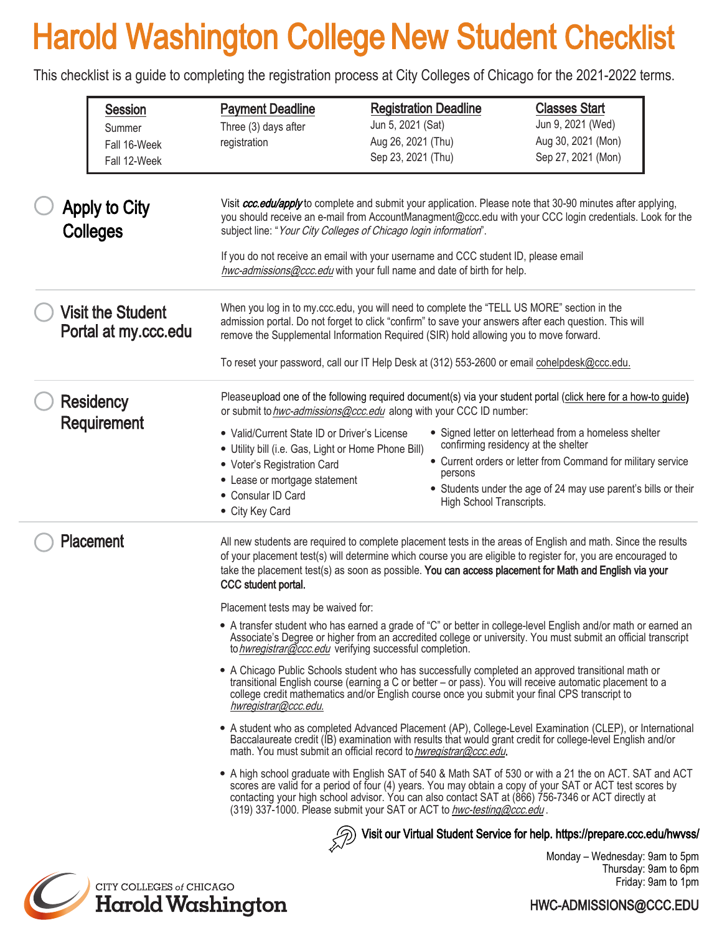# Harold Washington College New Student Checklist

This checklist is a guide to completing the registration process at City Colleges of Chicago for the 2021-2022 terms.

| <b>Session</b><br>Summer<br>Fall 16-Week<br>Fall 12-Week | <b>Payment Deadline</b><br>Three (3) days after<br>registration                                                                                                                                              | <b>Registration Deadline</b><br>Jun 5, 2021 (Sat)<br>Aug 26, 2021 (Thu)<br>Sep 23, 2021 (Thu)                                                                                                                                                                                                                                                                                                                                                                                                                                                                                                                                                                                                                                                                                                                                                                                                                                                                                                                                                                                                                                                                                                                                                                                                                                                                                                                                                                                                                                                                                                                                                                                                                                                                                                                                              | <b>Classes Start</b><br>Jun 9, 2021 (Wed)<br>Aug 30, 2021 (Mon)<br>Sep 27, 2021 (Mon)                                                                                                                                                                                                                                                            |
|----------------------------------------------------------|--------------------------------------------------------------------------------------------------------------------------------------------------------------------------------------------------------------|--------------------------------------------------------------------------------------------------------------------------------------------------------------------------------------------------------------------------------------------------------------------------------------------------------------------------------------------------------------------------------------------------------------------------------------------------------------------------------------------------------------------------------------------------------------------------------------------------------------------------------------------------------------------------------------------------------------------------------------------------------------------------------------------------------------------------------------------------------------------------------------------------------------------------------------------------------------------------------------------------------------------------------------------------------------------------------------------------------------------------------------------------------------------------------------------------------------------------------------------------------------------------------------------------------------------------------------------------------------------------------------------------------------------------------------------------------------------------------------------------------------------------------------------------------------------------------------------------------------------------------------------------------------------------------------------------------------------------------------------------------------------------------------------------------------------------------------------|--------------------------------------------------------------------------------------------------------------------------------------------------------------------------------------------------------------------------------------------------------------------------------------------------------------------------------------------------|
| <b>Apply to City</b><br><b>Colleges</b>                  |                                                                                                                                                                                                              | subject line: "Your City Colleges of Chicago login information".<br>If you do not receive an email with your username and CCC student ID, please email<br>hwc-admissions@ccc.edu with your full name and date of birth for help.                                                                                                                                                                                                                                                                                                                                                                                                                                                                                                                                                                                                                                                                                                                                                                                                                                                                                                                                                                                                                                                                                                                                                                                                                                                                                                                                                                                                                                                                                                                                                                                                           | Visit ccc.edu/apply to complete and submit your application. Please note that 30-90 minutes after applying,<br>you should receive an e-mail from AccountManagment@ccc.edu with your CCC login credentials. Look for the                                                                                                                          |
| <b>Visit the Student</b><br>Portal at my.ccc.edu         |                                                                                                                                                                                                              | When you log in to my.ccc.edu, you will need to complete the "TELL US MORE" section in the<br>admission portal. Do not forget to click "confirm" to save your answers after each question. This will<br>remove the Supplemental Information Required (SIR) hold allowing you to move forward.<br>To reset your password, call our IT Help Desk at (312) 553-2600 or email cohelpdesk@ccc.edu.                                                                                                                                                                                                                                                                                                                                                                                                                                                                                                                                                                                                                                                                                                                                                                                                                                                                                                                                                                                                                                                                                                                                                                                                                                                                                                                                                                                                                                              |                                                                                                                                                                                                                                                                                                                                                  |
| <b>Residency</b><br>Requirement                          | • Valid/Current State ID or Driver's License<br>• Utility bill (i.e. Gas, Light or Home Phone Bill)<br>• Voter's Registration Card<br>• Lease or mortgage statement<br>• Consular ID Card<br>• City Key Card | or submit to hwc-admissions@ccc.edu along with your CCC ID number:<br>persons<br>High School Transcripts.                                                                                                                                                                                                                                                                                                                                                                                                                                                                                                                                                                                                                                                                                                                                                                                                                                                                                                                                                                                                                                                                                                                                                                                                                                                                                                                                                                                                                                                                                                                                                                                                                                                                                                                                  | Pleaseupload one of the following required document(s) via your student portal (click here for a how-to guide)<br>• Signed letter on letterhead from a homeless shelter<br>confirming residency at the shelter<br>• Current orders or letter from Command for military service<br>• Students under the age of 24 may use parent's bills or their |
| Placement                                                | CCC student portal.<br>hwregistrar@ccc.edu.                                                                                                                                                                  | All new students are required to complete placement tests in the areas of English and math. Since the results<br>of your placement test(s) will determine which course you are eligible to register for, you are encouraged to<br>take the placement test(s) as soon as possible. You can access placement for Math and English via your<br>Placement tests may be waived for:<br>• A transfer student who has earned a grade of "C" or better in college-level English and/or math or earned an<br>Associate's Degree or higher from an accredited college or university. You must submit an official transcript<br>to hwregistrar@ccc.edu verifying successful completion.<br>• A Chicago Public Schools student who has successfully completed an approved transitional math or<br>transitional English course (earning a C or better – or pass). You will receive automatic placement to a<br>college credit mathematics and/or English course once you submit your final CPS transcript to<br>• A student who as completed Advanced Placement (AP), College-Level Examination (CLEP), or International<br>Baccalaureate credit (IB) examination with results that would grant credit for college-level English and/or<br>math. You must submit an official record to hwregistrar@ccc.edu.<br>• A high school graduate with English SAT of 540 & Math SAT of 530 or with a 21 the on ACT. SAT and ACT<br>scores are valid for a period of four (4) years. You may obtain a copy of your SAT or ACT test scores by<br>contacting your high school advisor. You can also contact SAT at (866) 756-7346 or ACT directly at<br>(319) 337-1000. Please submit your SAT or ACT to hwc-testing@ccc.edu.<br>Visit our Virtual Student Service for help. https://prepare.ccc.edu/hwvss/<br>Monday – Wednesday: 9am to 5pm<br>Thursday Camba Cam |                                                                                                                                                                                                                                                                                                                                                  |



Thursday: 9am to 6pm Friday: 9am to 1pm

#### HWC-ADMISSIONS@CCC.EDU